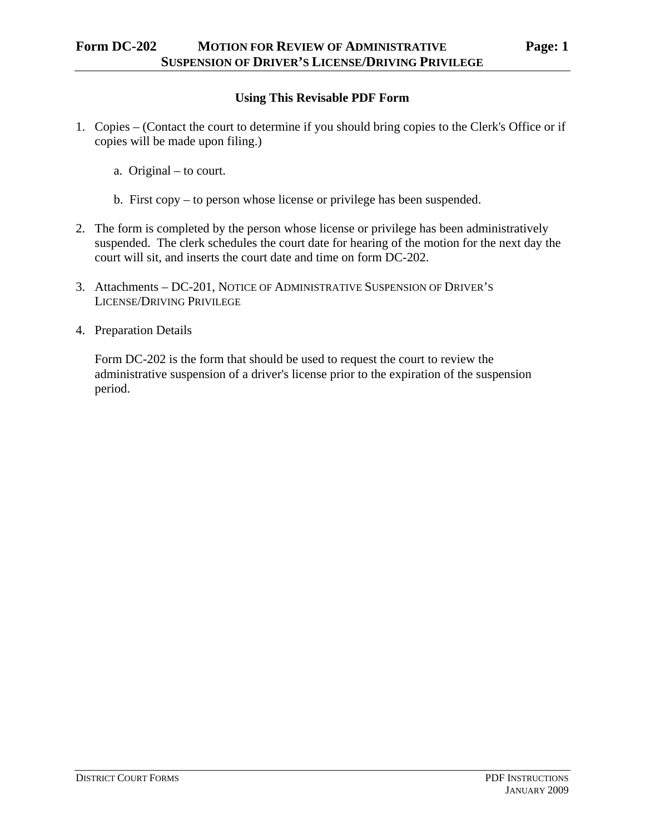- a. Original to court.
- b. First copy to person whose license or privilege has been suspended.
- 2. The form is completed by the person whose license or privilege has been administratively suspended. The clerk schedules the court date for hearing of the motion for the next day the court will sit, and inserts the court date and time on form DC-202.
- 3. Attachments DC-201, NOTICE OF ADMINISTRATIVE SUSPENSION OF DRIVER'S LICENSE/DRIVING PRIVILEGE
- 4. Preparation Details

Form DC-202 is the form that should be used to request the court to review the administrative suspension of a driver's license prior to the expiration of the suspension period.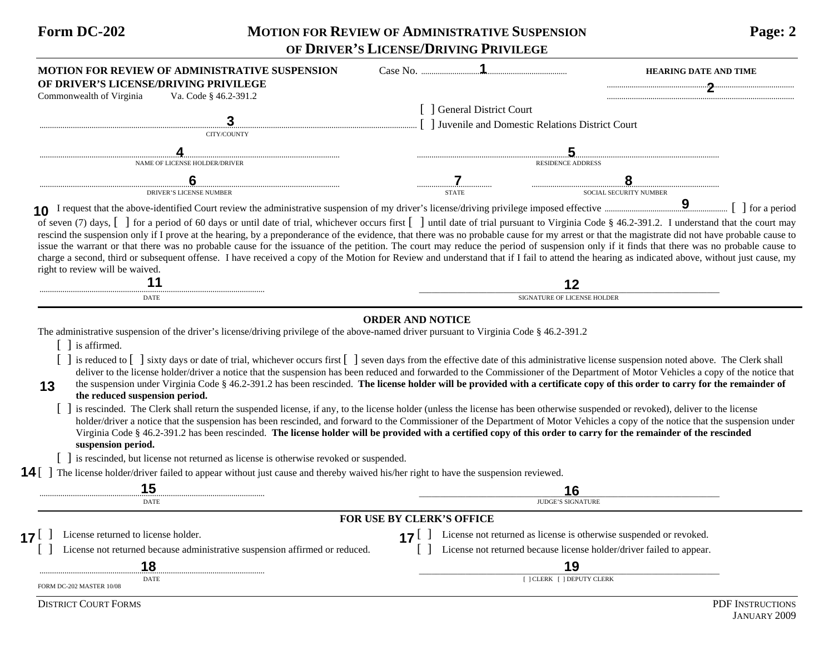## **Form DC-202 MOTION FOR REVIEW OF ADMINISTRATIVE SUSPENSION Page: 2 OF DRIVER'S LICENSE/DRIVING PRIVILEGE**

| <b>MOTION FOR REVIEW OF ADMINISTRATIVE SUSPENSION</b><br>OF DRIVER'S LICENSE/DRIVING PRIVILEGE                                                                                                                                                                                                                                                                                                                                                                                                                                                                                                                                                                                                                                                                                                                                                                                                                                                                                                                       |                                                | <b>HEARING DATE AND TIME</b>                                         |  |
|----------------------------------------------------------------------------------------------------------------------------------------------------------------------------------------------------------------------------------------------------------------------------------------------------------------------------------------------------------------------------------------------------------------------------------------------------------------------------------------------------------------------------------------------------------------------------------------------------------------------------------------------------------------------------------------------------------------------------------------------------------------------------------------------------------------------------------------------------------------------------------------------------------------------------------------------------------------------------------------------------------------------|------------------------------------------------|----------------------------------------------------------------------|--|
| Commonwealth of Virginia<br>Va. Code § 46.2-391.2                                                                                                                                                                                                                                                                                                                                                                                                                                                                                                                                                                                                                                                                                                                                                                                                                                                                                                                                                                    |                                                |                                                                      |  |
|                                                                                                                                                                                                                                                                                                                                                                                                                                                                                                                                                                                                                                                                                                                                                                                                                                                                                                                                                                                                                      | [ ] General District Court                     |                                                                      |  |
|                                                                                                                                                                                                                                                                                                                                                                                                                                                                                                                                                                                                                                                                                                                                                                                                                                                                                                                                                                                                                      | Juvenile and Domestic Relations District Court |                                                                      |  |
| CITY/COUNTY                                                                                                                                                                                                                                                                                                                                                                                                                                                                                                                                                                                                                                                                                                                                                                                                                                                                                                                                                                                                          |                                                |                                                                      |  |
|                                                                                                                                                                                                                                                                                                                                                                                                                                                                                                                                                                                                                                                                                                                                                                                                                                                                                                                                                                                                                      |                                                |                                                                      |  |
| NAME OF LICENSE HOLDER/DRIVER                                                                                                                                                                                                                                                                                                                                                                                                                                                                                                                                                                                                                                                                                                                                                                                                                                                                                                                                                                                        |                                                | <b>RESIDENCE ADDRESS</b>                                             |  |
|                                                                                                                                                                                                                                                                                                                                                                                                                                                                                                                                                                                                                                                                                                                                                                                                                                                                                                                                                                                                                      |                                                |                                                                      |  |
| <b>DRIVER'S LICENSE NUMBER</b>                                                                                                                                                                                                                                                                                                                                                                                                                                                                                                                                                                                                                                                                                                                                                                                                                                                                                                                                                                                       | <b>STATE</b>                                   | SOCIAL SECURITY NUMBER                                               |  |
| of seven (7) days, [] for a period of 60 days or until date of trial, whichever occurs first [] until date of trial pursuant to Virginia Code § 46.2-391.2. I understand that the court may<br>rescind the suspension only if I prove at the hearing, by a preponderance of the evidence, that there was no probable cause for my arrest or that the magistrate did not have probable cause to<br>issue the warrant or that there was no probable cause for the issuance of the petition. The court may reduce the period of suspension only if it finds that there was no probable cause to<br>charge a second, third or subsequent offense. I have received a copy of the Motion for Review and understand that if I fail to attend the hearing as indicated above, without just cause, my<br>right to review will be waived.                                                                                                                                                                                      |                                                |                                                                      |  |
|                                                                                                                                                                                                                                                                                                                                                                                                                                                                                                                                                                                                                                                                                                                                                                                                                                                                                                                                                                                                                      |                                                | 12                                                                   |  |
| DATE                                                                                                                                                                                                                                                                                                                                                                                                                                                                                                                                                                                                                                                                                                                                                                                                                                                                                                                                                                                                                 |                                                | SIGNATURE OF LICENSE HOLDER                                          |  |
| the suspension under Virginia Code § 46.2-391.2 has been rescinded. The license holder will be provided with a certificate copy of this order to carry for the remainder of<br>13<br>the reduced suspension period.<br>is rescinded. The Clerk shall return the suspended license, if any, to the license holder (unless the license has been otherwise suspended or revoked), deliver to the license<br>holder/driver a notice that the suspension has been rescinded, and forward to the Commissioner of the Department of Motor Vehicles a copy of the notice that the suspension under<br>Virginia Code § 46.2-391.2 has been rescinded. The license holder will be provided with a certified copy of this order to carry for the remainder of the rescinded<br>suspension period.<br>[] is rescinded, but license not returned as license is otherwise revoked or suspended.<br>The license holder/driver failed to appear without just cause and thereby waived his/her right to have the suspension reviewed. |                                                |                                                                      |  |
| 14                                                                                                                                                                                                                                                                                                                                                                                                                                                                                                                                                                                                                                                                                                                                                                                                                                                                                                                                                                                                                   |                                                |                                                                      |  |
| 15                                                                                                                                                                                                                                                                                                                                                                                                                                                                                                                                                                                                                                                                                                                                                                                                                                                                                                                                                                                                                   |                                                | 16                                                                   |  |
| DATE                                                                                                                                                                                                                                                                                                                                                                                                                                                                                                                                                                                                                                                                                                                                                                                                                                                                                                                                                                                                                 |                                                | <b>JUDGE'S SIGNATURE</b>                                             |  |
|                                                                                                                                                                                                                                                                                                                                                                                                                                                                                                                                                                                                                                                                                                                                                                                                                                                                                                                                                                                                                      | FOR USE BY CLERK'S OFFICE                      |                                                                      |  |
| License returned to license holder.<br>$17^{\lfloor}$                                                                                                                                                                                                                                                                                                                                                                                                                                                                                                                                                                                                                                                                                                                                                                                                                                                                                                                                                                | <b>F</b> 1<br>17 <sup>1</sup>                  | License not returned as license is otherwise suspended or revoked.   |  |
| License not returned because administrative suspension affirmed or reduced.                                                                                                                                                                                                                                                                                                                                                                                                                                                                                                                                                                                                                                                                                                                                                                                                                                                                                                                                          |                                                | License not returned because license holder/driver failed to appear. |  |
| 18                                                                                                                                                                                                                                                                                                                                                                                                                                                                                                                                                                                                                                                                                                                                                                                                                                                                                                                                                                                                                   |                                                | 19                                                                   |  |
| DATE<br>FORM DC-202 MASTER 10/08                                                                                                                                                                                                                                                                                                                                                                                                                                                                                                                                                                                                                                                                                                                                                                                                                                                                                                                                                                                     |                                                | [ ] CLERK [ ] DEPUTY CLERK                                           |  |
| <b>DISTRICT COURT FORMS</b>                                                                                                                                                                                                                                                                                                                                                                                                                                                                                                                                                                                                                                                                                                                                                                                                                                                                                                                                                                                          |                                                | PDF INSTRUCTIONS                                                     |  |
|                                                                                                                                                                                                                                                                                                                                                                                                                                                                                                                                                                                                                                                                                                                                                                                                                                                                                                                                                                                                                      |                                                |                                                                      |  |